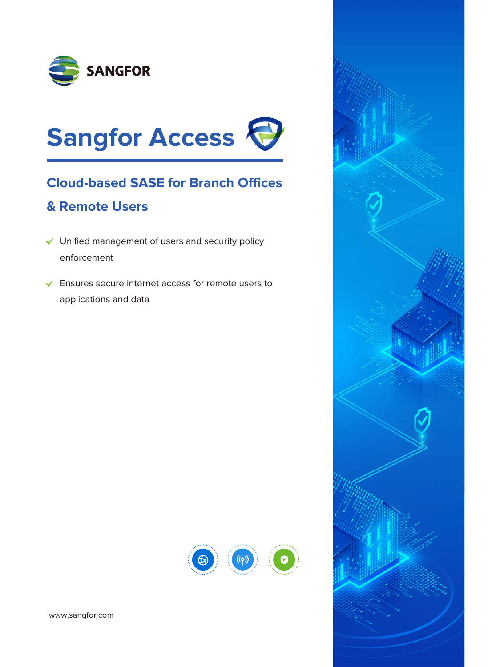



# **Cloud-based SASE for Branch Offices**

# **& Remote Users**

- $\checkmark$  Unified management of users and security policy enforcement
- Ensures secure internet access for remote users to applications and data





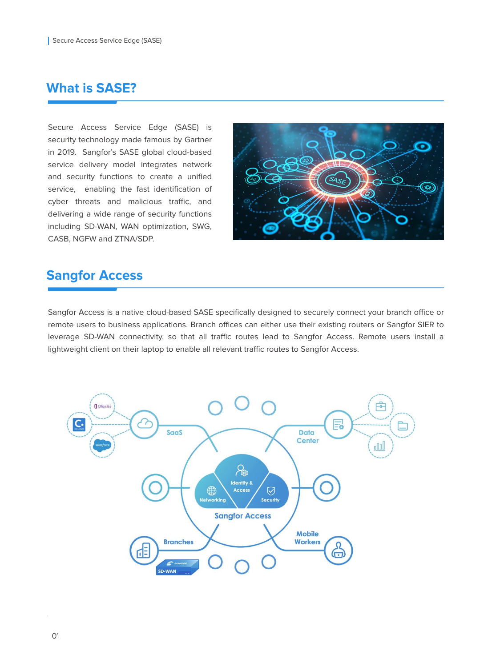## **What is SASE?**

Secure Access Service Edge (SASE) is security technology made famous by Gartner in 2019. Sangfor's SASE global cloud-based service delivery model integrates network and security functions to create a unified service, enabling the fast identification of cyber threats and malicious traffic, and delivering a wide range of security functions including SD-WAN, WAN optimization, SWG, CASB, NGFW and ZTNA/SDP.



## **Sangfor Access**

Sangfor Access is a native cloud-based SASE specifically designed to securely connect your branch office or remote users to business applications. Branch offices can either use their existing routers or Sangfor SIER to leverage SD-WAN connectivity, so that all traffic routes lead to Sangfor Access. Remote users install a lightweight client on their laptop to enable all relevant traffic routes to Sangfor Access.

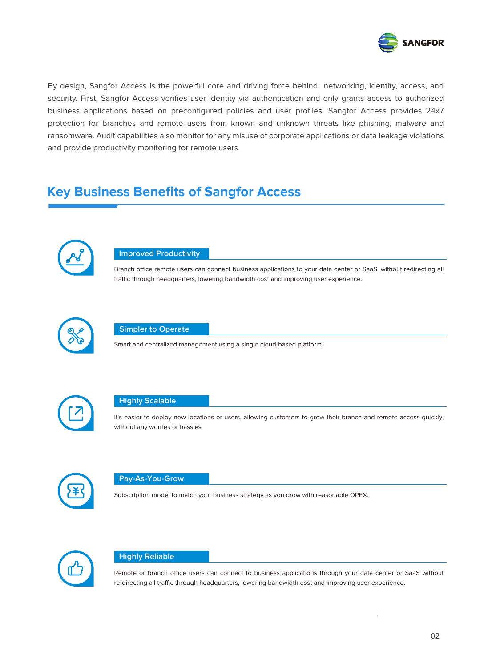

By design, Sangfor Access is the powerful core and driving force behind networking, identity, access, and security. First, Sangfor Access verifies user identity via authentication and only grants access to authorized business applications based on preconfigured policies and user profiles. Sangfor Access provides 24x7 protection for branches and remote users from known and unknown threats like phishing, malware and ransomware. Audit capabilities also monitor for any misuse of corporate applications or data leakage violations and provide productivity monitoring for remote users.

# **Key Business Benefits of Sangfor Access**



## **Improved Productivity**

Branch office remote users can connect business applications to your data center or SaaS, without redirecting all traffic through headquarters, lowering bandwidth cost and improving user experience.



## **Simpler to Operate**

Smart and centralized management using a single cloud-based platform.



## **Highly Scalable**

It's easier to deploy new locations or users, allowing customers to grow their branch and remote access quickly, without any worries or hassles.



### **Pay-As-You-Grow**

Subscription model to match your business strategy as you grow with reasonable OPEX.



## **Highly Reliable**

Remote or branch office users can connect to business applications through your data center or SaaS without re-directing all traffic through headquarters, lowering bandwidth cost and improving user experience.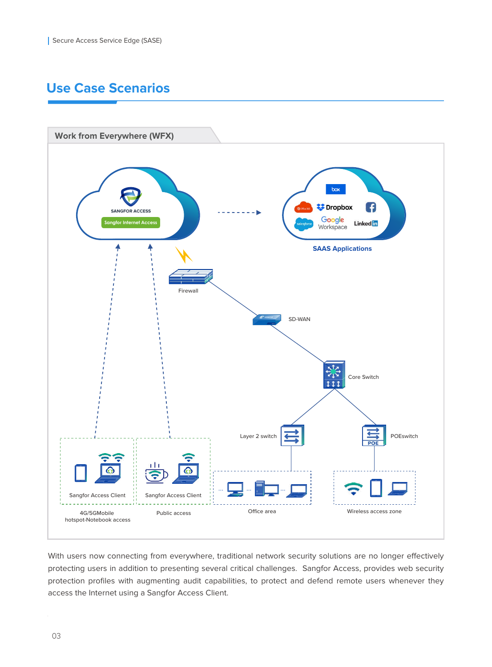# **Use Case Scenarios**



With users now connecting from everywhere, traditional network security solutions are no longer effectively protecting users in addition to presenting several critical challenges. Sangfor Access, provides web security protection profiles with augmenting audit capabilities, to protect and defend remote users whenever they access the Internet using a Sangfor Access Client.

l,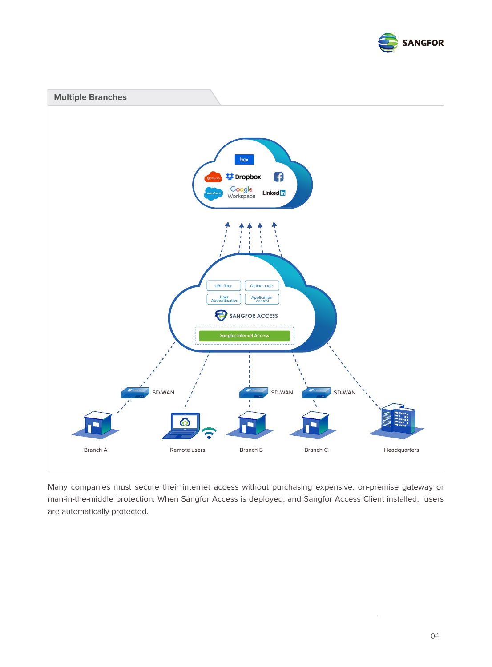



Many companies must secure their internet access without purchasing expensive, on-premise gateway or man-in-the-middle protection. When Sangfor Access is deployed, and Sangfor Access Client installed, users are automatically protected.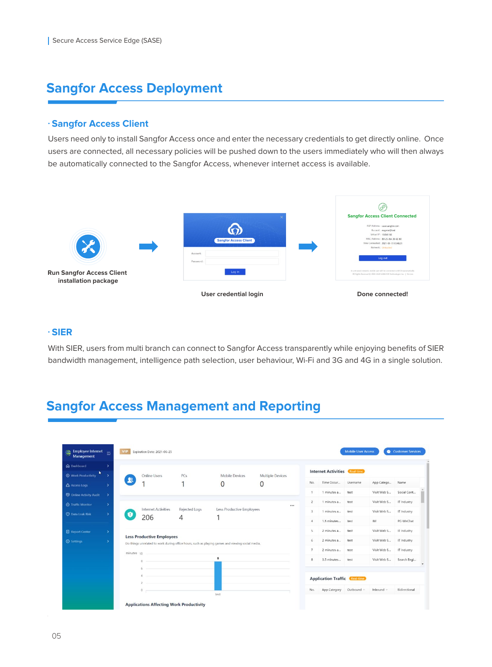# **Sangfor Access Deployment**

## **Sangfor Access Client**

Users need only to install Sangfor Access once and enter the necessary credentials to get directly online. Once users are connected, all necessary policies will be pushed down to the users immediately who will then always be automatically connected to the Sangfor Access, whenever internet access is available.



## **SIER**

With SIER, users from multi branch can connect to Sangfor Access transparently while enjoying benefits of SIER bandwidth management, intelligence path selection, user behaviour, Wi-Fi and 3G and 4G in a single solution.

# **Sangfor Access Management and Reporting**

| @ Dashboard<br>$\rightarrow$                     |              |                                                                                                                                      |                                                         |                           |   |                |                                      | Real-time |             |               |            |  |
|--------------------------------------------------|--------------|--------------------------------------------------------------------------------------------------------------------------------------|---------------------------------------------------------|---------------------------|---|----------------|--------------------------------------|-----------|-------------|---------------|------------|--|
| Ņ<br><b>O</b> Work Productivity<br>$\rightarrow$ |              | Online Users                                                                                                                         | <b>Mobile Devices</b><br><b>Multiple Devices</b><br>PCs |                           |   |                | <b>Internet Activities</b>           |           |             |               |            |  |
| <b>C</b> Access Logs<br>$\rightarrow$            | $\mathbf{R}$ |                                                                                                                                      |                                                         | $\Omega$                  | 0 | No.            | Time Occur                           | Username  | App Catego  | Name          |            |  |
| Online Activity Audit<br>$\rightarrow$           |              |                                                                                                                                      |                                                         |                           |   | 1              | 1 minutes a                          | test      | Visit Web S | Social Cont   |            |  |
| ← Traffic Monitor<br>$\rightarrow$               |              |                                                                                                                                      |                                                         |                           |   | $\overline{2}$ | 1 minutes a                          | test      | Visit Web S | IT Industry   |            |  |
| <b>O</b> Data Leak Risk<br>$\rightarrow$         | 0            | <b>Internet Activities</b>                                                                                                           | Rejected Logs                                           | Less Productive Employees |   | $\mathcal{R}$  | 1 minutes a                          | test      | Visit Web S | IT Industry   |            |  |
|                                                  |              | 206                                                                                                                                  | 4                                                       |                           |   | 4              | 1.5 minutes                          | test      | <b>IM</b>   | PC-WeChat     |            |  |
| <b>E</b> Report Center<br>$\rightarrow$          |              |                                                                                                                                      |                                                         |                           |   | 5              | 2 minutes a                          | test      | Visit Web S | IT Industry   |            |  |
| Settings<br>$\rightarrow$                        |              | <b>Less Productive Employees</b><br>Do things unrelated to work during office hours, such as playing games and viewing social media. |                                                         |                           |   |                | 2 minutes a                          | test      | Visit Web S | IT industry   |            |  |
|                                                  | minutes 10   |                                                                                                                                      |                                                         |                           |   | $\overline{7}$ | 2 minutes a                          | test      | Visit Web S | IT Industry   |            |  |
|                                                  |              |                                                                                                                                      |                                                         | 8                         |   | R              | 3.5 minutes                          | test      | Visit Web S | Search Engi   |            |  |
|                                                  |              |                                                                                                                                      |                                                         |                           |   |                |                                      |           |             |               | $\check{}$ |  |
|                                                  |              |                                                                                                                                      |                                                         |                           |   |                | <b>Application Traffic Real-time</b> |           |             |               |            |  |
|                                                  |              | 0                                                                                                                                    |                                                         |                           |   | No.            |                                      |           | Inbound $-$ | Bidirectional |            |  |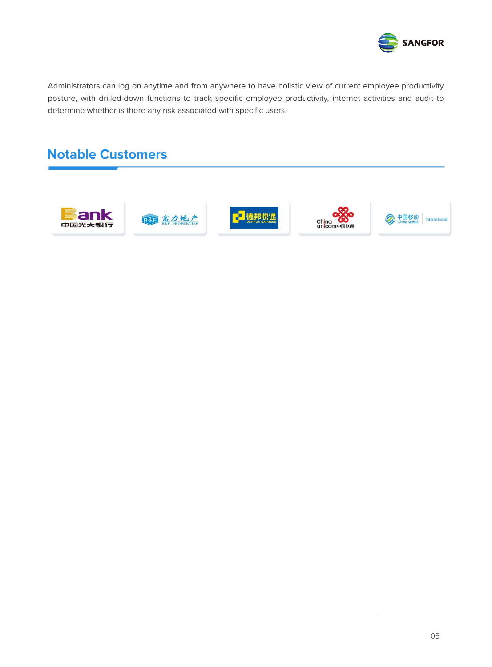

Administrators can log on anytime and from anywhere to have holistic view of current employee productivity posture, with drilled-down functions to track specific employee productivity, internet activities and audit to determine whether is there any risk associated with specific users.

# **Notable Customers**